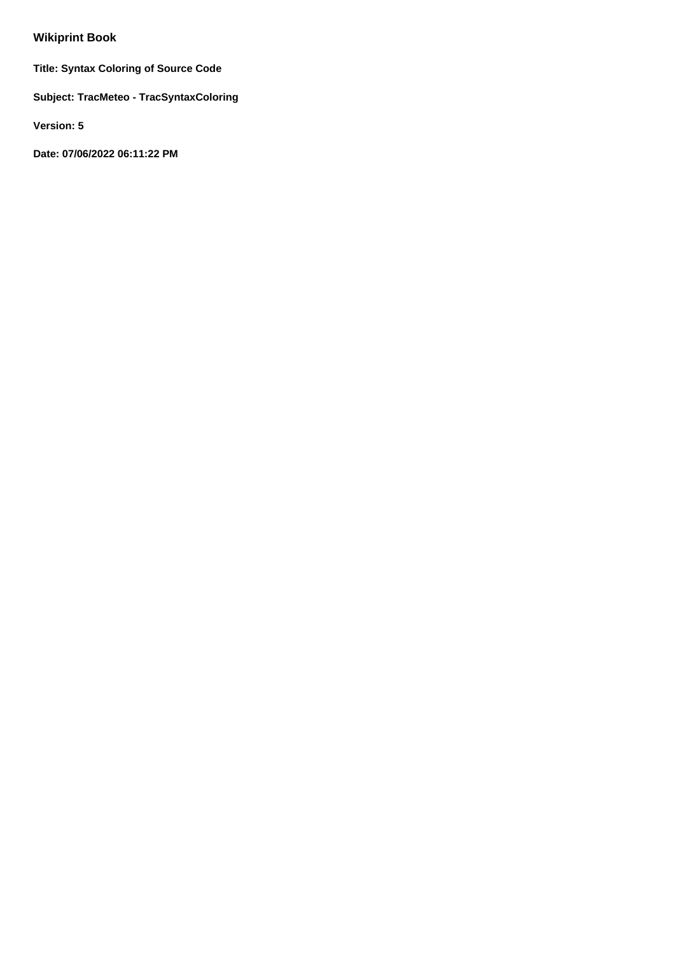# **Wikiprint Book**

**Title: Syntax Coloring of Source Code**

**Subject: TracMeteo - TracSyntaxColoring**

**Version: 5**

**Date: 07/06/2022 06:11:22 PM**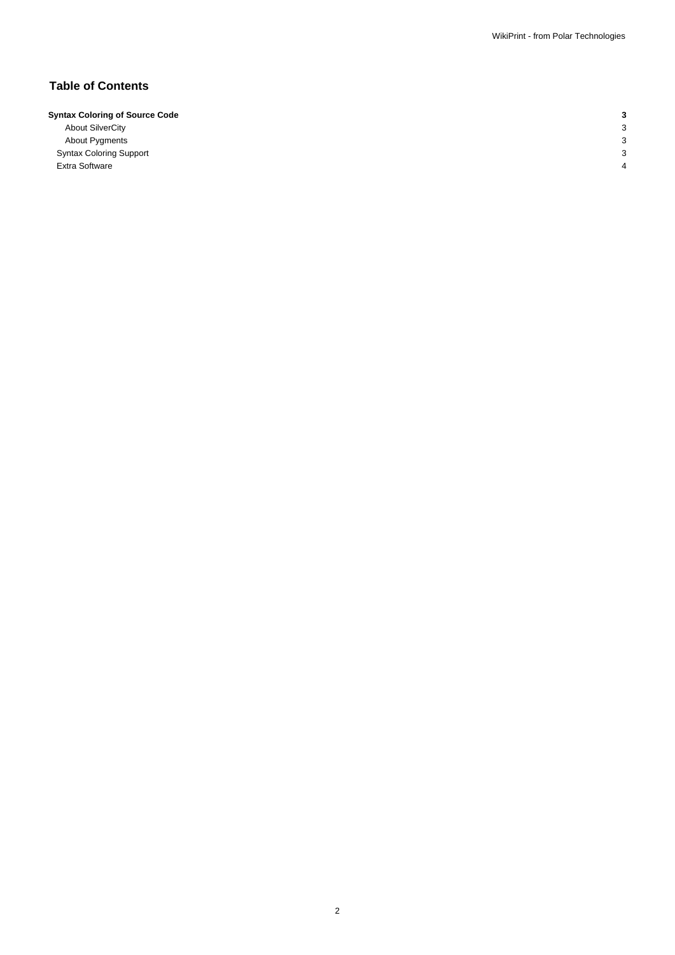# **Table of Contents**

| <b>Syntax Coloring of Source Code</b> |  |
|---------------------------------------|--|

About SilverCity 3 About Pygments 3 Syntax Coloring Support 3 Extra Software 4 and 1 and 1 and 1 and 1 and 1 and 1 and 1 and 1 and 1 and 1 and 1 and 1 and 1 and 1 and 1 and 1 and 1 and 1 and 1 and 1 and 1 and 1 and 1 and 1 and 1 and 1 and 1 and 1 and 1 and 1 and 1 and 1 and 1 and 1 a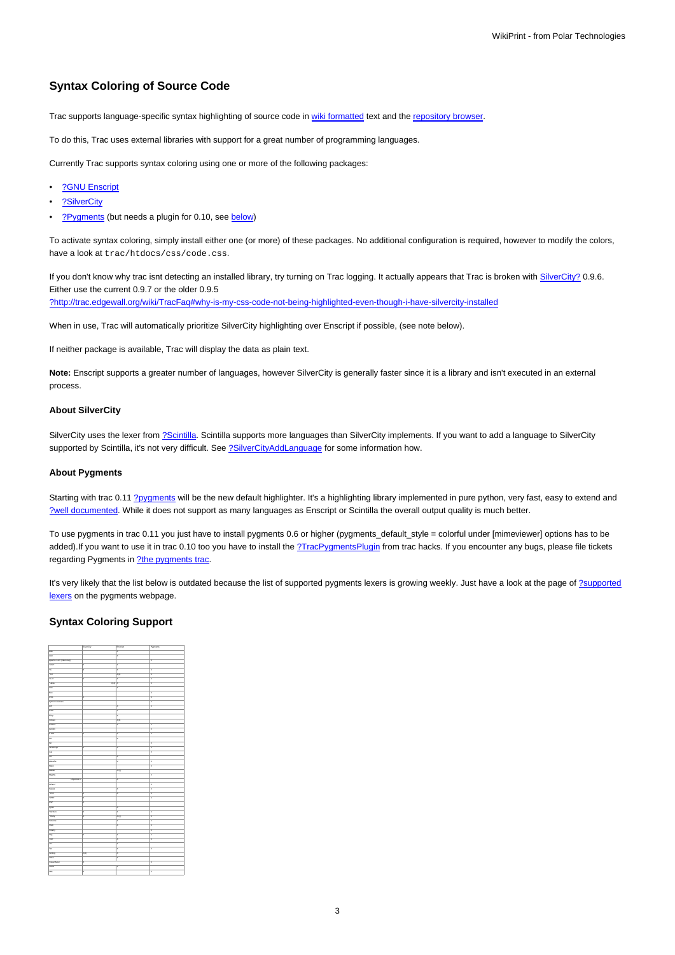## **Syntax Coloring of Source Code**

Trac supports language-specific syntax highlighting of source code in [wiki formatted](https://meteo.unican.es/trac/wiki/WikiFormatting) text and the [repository browser](https://meteo.unican.es/trac/wiki/TracBrowser).

To do this, Trac uses external libraries with support for a great number of programming languages.

Currently Trac supports syntax coloring using one or more of the following packages:

- [?GNU Enscript](http://www.codento.com/people/mtr/genscript/)
- [?SilverCity](http://silvercity.sourceforge.net/)
- [?Pygments](http://pygments.pocoo.org/) (but needs a plugin for 0.10, see [below\)](https://meteo.unican.es/trac/wiki/TracSyntaxColoring#AboutPygments)

To activate syntax coloring, simply install either one (or more) of these packages. No additional configuration is required, however to modify the colors, have a look at trac/htdocs/css/code.css.

If you don't know why trac isnt detecting an installed library, try turning on Trac logging. It actually appears that Trac is broken with SilverCity? 0.9.6. Either use the current 0.9.7 or the older 0.9.5 [?http://trac.edgewall.org/wiki/TracFaq#why-is-my-css-code-not-being-highlighted-even-though-i-have-silvercity-installed](http://trac.edgewall.org/wiki/TracFaq#why-is-my-css-code-not-being-highlighted-even-though-i-have-silvercity-installed)

When in use, Trac will automatically prioritize SilverCity highlighting over Enscript if possible, (see note below).

If neither package is available, Trac will display the data as plain text.

**Note:** Enscript supports a greater number of languages, however SilverCity is generally faster since it is a library and isn't executed in an external process.

#### **About SilverCity**

SilverCity uses the lexer from [?Scintilla](http://www.scintilla.org/). Scintilla supports more languages than SilverCity implements. If you want to add a language to SilverCity supported by Scintilla, it's not very difficult. See [?SilverCityAddLanguage](http://trac.edgewall.org/wiki/SilverCityAddLanguage) for some information how.

#### **About Pygments**

Starting with trac 0.11 [?pygments](http://pygments.org/) will be the new default highlighter. It's a highlighting library implemented in pure python, very fast, easy to extend and [?well documented.](http://pygments.org/docs/) While it does not support as many languages as Enscript or Scintilla the overall output quality is much better.

To use pygments in trac 0.11 you just have to install pygments 0.6 or higher (pygments\_default\_style = colorful under [mimeviewer] options has to be added).If you want to use it in trac 0.10 too you have to install the [?TracPygmentsPlugin](http://trac-hacks.org/wiki/TracPygmentsPlugin) from trac hacks. If you encounter any bugs, please file tickets regarding Pygments in [?the pygments trac](http://dev.pocoo.org/projects/pygments/).

It's very likely that the list below is outdated because the list of supported pygments lexers is growing weekly. Just have a look at the page of [?supported](http://pygments.org/docs/lexers/) [lexers](http://pygments.org/docs/lexers/) on the pygments webpage.

### **Syntax Coloring Support**

|                        | SilverDity      | Enscript | Pygments |
|------------------------|-----------------|----------|----------|
| $\overline{AB}$        |                 | x        |          |
| Asn                    |                 | ×        |          |
| Apache Conf (htaccess) |                 |          | ×        |
| · ASP                  | x               | x        |          |
| $\cdot c$              | x               | x        | π        |
| $rac{1}{2}$            |                 | x(2)     | π        |
| $-6 + 1$               | x               | x        | ×        |
| $-2na$                 | $X(4)$   $X$    |          | ×        |
| Auk                    |                 | x        |          |
| Roo                    |                 |          | π        |
| css                    | x               |          | ×        |
| Pythan Doctests        |                 |          | ×        |
| ρa                     |                 | x        | ×        |
| Eithel                 |                 | x        |          |
| Eliap                  |                 | x        |          |
| Forras                 |                 | X(2)     |          |
| Hadul                  |                 | x        | E        |
| Genchi                 |                 |          | E        |
| <b>HTML</b>            | x               | x        | π        |
| is.                    |                 | x        |          |
| $\overline{m}$         |                 |          | E        |
| Javascript             | k               | X        | E        |
| Lua                    |                 |          | k        |
| $\overline{m}$         |                 | x        |          |
| Makelile               |                 | x        | π        |
| Mako                   |                 |          | E        |
| Mariab                 |                 | X(5)     |          |
| Mygthy                 |                 |          | π        |
| Objective C<br>г       |                 | x        |          |
| OCami                  |                 |          | F        |
| Pascal                 |                 | x        | ×        |
| $\cdot$ Pad            | x               | x        | ×        |
| $-$ PhiP               | x               |          | ×        |
| PSP                    | x               |          |          |
| Pytes                  |                 | x        |          |
| · Pythan               | x               | x        | z        |
| · Ruby                 | x               | X(3)     | π        |
| Schame                 |                 | Ιx       | Ε        |
| Shell                  |                 | x        | π        |
| Smany                  |                 |          | ×        |
| 900                    | ×               | x        | ×        |
| Trut                   |                 | x        | π        |
| $\overline{\text{ra}}$ |                 | x        |          |
| Tes                    |                 | x        | ×        |
| Vering                 | $X(\mathbf{C})$ | x        |          |
| <b>VHDL</b>            |                 | Χ        |          |
| <b>Visual Basic</b>    | ×               |          | π        |
| <b>VRML</b>            |                 | x        |          |
| XML                    | ×               |          | E        |